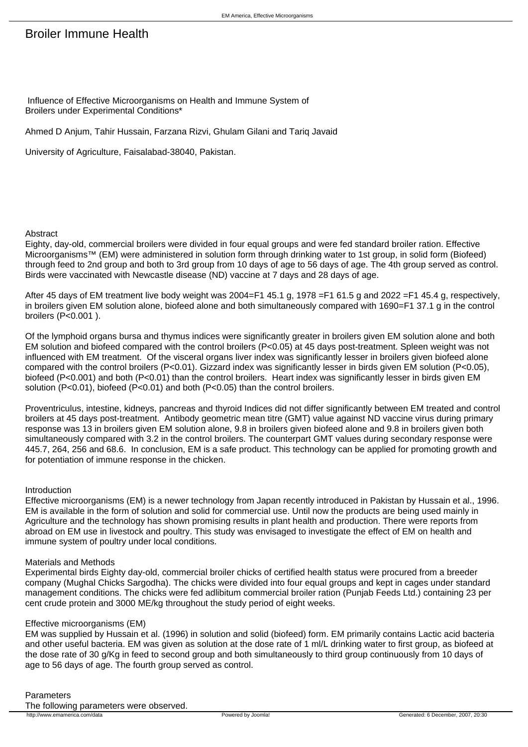# Broiler Immune Health

 Influence of Effective Microorganisms on Health and Immune System of Broilers under Experimental Conditions\*

Ahmed D Anjum, Tahir Hussain, Farzana Rizvi, Ghulam Gilani and Tariq Javaid

University of Agriculture, Faisalabad-38040, Pakistan.

# Abstract

Eighty, day-old, commercial broilers were divided in four equal groups and were fed standard broiler ration. Effective Microorganisms™ (EM) were administered in solution form through drinking water to 1st group, in solid form (Biofeed) through feed to 2nd group and both to 3rd group from 10 days of age to 56 days of age. The 4th group served as control. Birds were vaccinated with Newcastle disease (ND) vaccine at 7 days and 28 days of age.

After 45 days of EM treatment live body weight was 2004=F1 45.1 g, 1978 =F1 61.5 g and 2022 =F1 45.4 g, respectively, in broilers given EM solution alone, biofeed alone and both simultaneously compared with 1690=F1 37.1 g in the control broilers (P<0.001 ).

Of the lymphoid organs bursa and thymus indices were significantly greater in broilers given EM solution alone and both EM solution and biofeed compared with the control broilers (P<0.05) at 45 days post-treatment. Spleen weight was not influenced with EM treatment. Of the visceral organs liver index was significantly lesser in broilers given biofeed alone compared with the control broilers (P<0.01). Gizzard index was significantly lesser in birds given EM solution (P<0.05), biofeed (P<0.001) and both (P<0.01) than the control broilers. Heart index was significantly lesser in birds given EM solution (P<0.01), biofeed (P<0.01) and both (P<0.05) than the control broilers.

Proventriculus, intestine, kidneys, pancreas and thyroid Indices did not differ significantly between EM treated and control broilers at 45 days post-treatment. Antibody geometric mean titre (GMT) value against ND vaccine virus during primary response was 13 in broilers given EM solution alone, 9.8 in broilers given biofeed alone and 9.8 in broilers given both simultaneously compared with 3.2 in the control broilers. The counterpart GMT values during secondary response were 445.7, 264, 256 and 68.6. In conclusion, EM is a safe product. This technology can be applied for promoting growth and for potentiation of immune response in the chicken.

# Introduction

Effective microorganisms (EM) is a newer technology from Japan recently introduced in Pakistan by Hussain et al., 1996. EM is available in the form of solution and solid for commercial use. Until now the products are being used mainly in Agriculture and the technology has shown promising results in plant health and production. There were reports from abroad on EM use in livestock and poultry. This study was envisaged to investigate the effect of EM on health and immune system of poultry under local conditions.

# Materials and Methods

Experimental birds Eighty day-old, commercial broiler chicks of certified health status were procured from a breeder company (Mughal Chicks Sargodha). The chicks were divided into four equal groups and kept in cages under standard management conditions. The chicks were fed adlibitum commercial broiler ration (Punjab Feeds Ltd.) containing 23 per cent crude protein and 3000 ME/kg throughout the study period of eight weeks.

# Effective microorganisms (EM)

EM was supplied by Hussain et al. (1996) in solution and solid (biofeed) form. EM primarily contains Lactic acid bacteria and other useful bacteria. EM was given as solution at the dose rate of 1 ml/L drinking water to first group, as biofeed at the dose rate of 30 g/Kg in feed to second group and both simultaneously to third group continuously from 10 days of age to 56 days of age. The fourth group served as control.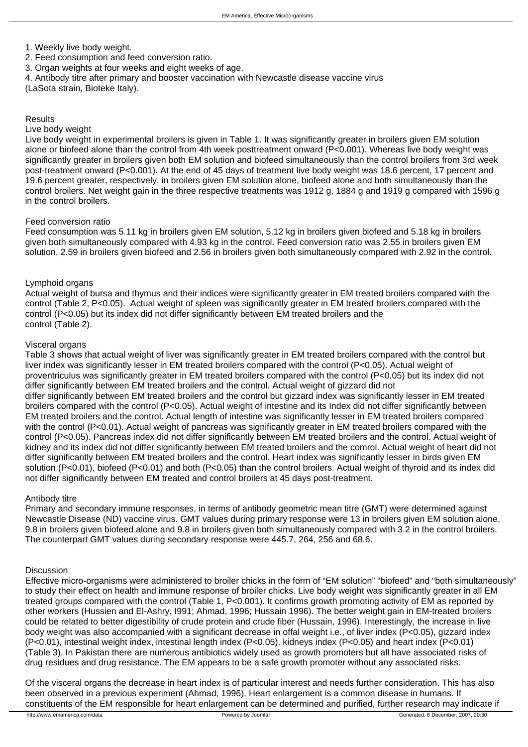## 1. Weekly live body weight.

- 2. Feed consumption and feed conversion ratio.
- 3. Organ weights at four weeks and eight weeks of age.
- 4. Antibody titre after primary and booster vaccination with Newcastle disease vaccine virus

(LaSota strain, Bioteke Italy).

## Results

#### Live body weight

Live body weight in experimental broilers is given in Table 1. It was significantly greater in broilers given EM solution alone or biofeed alone than the control from 4th week posttreatment onward (P<0.001). Whereas live body weight was significantly greater in broilers given both EM solution and biofeed simultaneously than the control broilers from 3rd week post-treatment onward (P<0.001). At the end of 45 days of treatment live body weight was 18.6 percent, 17 percent and 19.6 percent greater, respectively, in broilers given EM solution alone, biofeed alone and both simultaneously than the control broilers. Net weight gain in the three respective treatments was 1912 g, 1884 g and 1919 g compared with 1596 g in the control broilers.

## Feed conversion ratio

Feed consumption was 5.11 kg in broilers given EM solution, 5.12 kg in broilers given biofeed and 5.18 kg in broilers given both simultaneously compared with 4.93 kg in the control. Feed conversion ratio was 2.55 in broilers given EM solution, 2.59 in broilers given biofeed and 2.56 in broilers given both simultaneously compared with 2.92 in the control.

# Lymphoid organs

Actual weight of bursa and thymus and their indices were significantly greater in EM treated broilers compared with the control (Table 2, P<0.05). Actual weight of spleen was significantly greater in EM treated broilers compared with the control (P<0.05) but its index did not differ significantly between EM treated broilers and the control (Table 2).

## Visceral organs

Table 3 shows that actual weight of liver was significantly greater in EM treated broilers compared with the control but liver index was significantly lesser in EM treated broilers compared with the control (P<0.05). Actual weight of proventriculus was significantly greater in EM treated broilers compared with the control (P<0.05) but its index did not differ significantly between EM treated broilers and the control. Actual weight of gizzard did not differ significantly between EM treated broilers and the control but gizzard index was significantly lesser in EM treated broilers compared with the control (P<0.05). Actual weight of intestine and its Index did not differ significantly between EM treated broilers and the control. Actual length of intestine was significantly lesser in EM treated broilers compared with the control (P<0.01). Actual weight of pancreas was significantly greater in EM treated broilers compared with the control (P<0.05). Pancreas index did not differ significantly between EM treated broilers and the control. Actual weight of kidney and its index did not differ significantly between EM treated broilers and the comrol. Actual weight of heart did not differ significantly between EM treated broilers and the control. Heart index was significantly lesser in birds given EM solution (P<0.01), biofeed (P<0.01) and both (P<0.05) than the control broilers. Actual weight of thyroid and its index did not differ significantly between EM treated and control broilers at 45 days post-treatment.

## Antibody titre

Primary and secondary immune responses, in terms of antibody geometric mean titre (GMT) were determined against Newcastle Disease (ND) vaccine virus. GMT values during primary response were 13 in broilers given EM solution alone, 9.8 in broilers given biofeed alone and 9.8 in broilers given both simultaneously compared with 3.2 in the control broilers. The counterpart GMT values during secondary response were 445.7, 264, 256 and 68.6.

## Discussion

Effective micro-organisms were administered to broiler chicks in the form of "EM solution" "biofeed" and "both simultaneously" to study their effect on health and immune response of broiler chicks. Live body weight was significantly greater in all EM treated groups compared with the control (Table 1, P<0.001). It confirms growth promoting activity of EM as reported by other workers (Hussien and El-Ashry, I991; Ahmad, 1996; Hussain 1996). The better weight gain in EM-treated broilers could be related to better digestibility of crude protein and crude fiber (Hussain, 1996). Interestingly, the increase in live body weight was also accompanied with a significant decrease in offal weight i.e., of liver index (P<0.05), gizzard index (P<0.01), intestinal weight index, intestinal length index (P<0.05). kidneys index (P<0.05) and heart index (P<0.01) (Table 3). In Pakistan there are numerous antibiotics widely used as growth promoters but all have associated risks of drug residues and drug resistance. The EM appears to be a safe growth promoter without any associated risks.

Of the visceral organs the decrease in heart index is of particular interest and needs further consideration. This has also been observed in a previous experiment (Ahmad, 1996). Heart enlargement is a common disease in humans. If constituents of the EM responsible for heart enlargement can be determined and purified, further research may indicate if